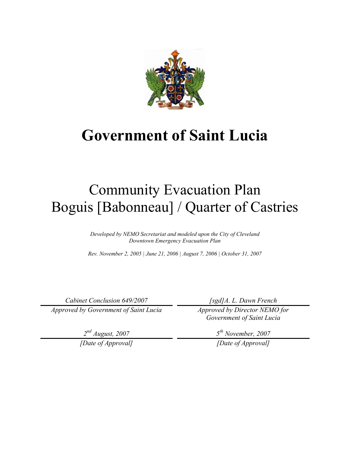

# **Government of Saint Lucia**

# Community Evacuation Plan Boguis [Babonneau] / Quarter of Castries

*Developed by NEMO Secretariat and modeled upon the City of Cleveland Downtown Emergency Evacuation Plan* 

*Rev. November 2, 2005 | June 21, 2006 | August 7, 2006 | October 31, 2007* 

*Cabinet Conclusion 649/2007* 

*Approved by Government of Saint Lucia* 

*2nd August, 2007* 

*[Date of Approval]* 

*[sgd]A. L. Dawn French* 

*Approved by Director NEMO for Government of Saint Lucia* 

*5th November, 2007* 

*[Date of Approval]*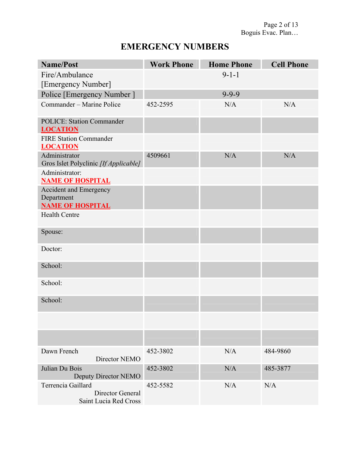### **EMERGENCY NUMBERS**

| <b>Name/Post</b>                                                       | <b>Work Phone</b> | <b>Home Phone</b> | <b>Cell Phone</b> |
|------------------------------------------------------------------------|-------------------|-------------------|-------------------|
| Fire/Ambulance                                                         |                   | $9 - 1 - 1$       |                   |
| [Emergency Number]                                                     |                   |                   |                   |
| Police [Emergency Number]                                              |                   | $9 - 9 - 9$       |                   |
| Commander - Marine Police                                              | 452-2595          | N/A               | N/A               |
| <b>POLICE: Station Commander</b><br><b>LOCATION</b>                    |                   |                   |                   |
| <b>FIRE Station Commander</b><br><b>LOCATION</b>                       |                   |                   |                   |
| Administrator<br>Gros Islet Polyclinic [If Applicable]                 | 4509661           | N/A               | N/A               |
| Administrator:<br><b>NAME OF HOSPITAL</b>                              |                   |                   |                   |
| <b>Accident and Emergency</b><br>Department<br><b>NAME OF HOSPITAL</b> |                   |                   |                   |
| <b>Health Centre</b>                                                   |                   |                   |                   |
| Spouse:                                                                |                   |                   |                   |
| Doctor:                                                                |                   |                   |                   |
| School:                                                                |                   |                   |                   |
| School:                                                                |                   |                   |                   |
| School:                                                                |                   |                   |                   |
|                                                                        |                   |                   |                   |
|                                                                        |                   |                   |                   |
| Dawn French<br>Director NEMO                                           | 452-3802          | N/A               | 484-9860          |
| Julian Du Bois<br>Deputy Director NEMO                                 | 452-3802          | N/A               | 485-3877          |
| Terrencia Gaillard<br>Director General<br>Saint Lucia Red Cross        | 452-5582          | N/A               | N/A               |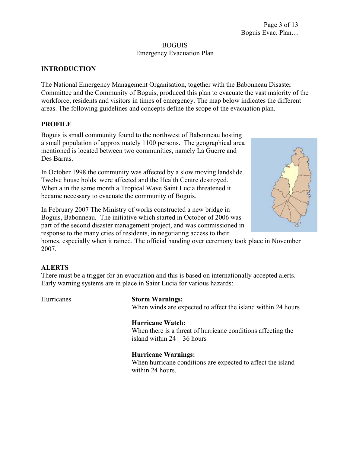#### BOGUIS Emergency Evacuation Plan

#### **INTRODUCTION**

The National Emergency Management Organisation, together with the Babonneau Disaster Committee and the Community of Boguis, produced this plan to evacuate the vast majority of the workforce, residents and visitors in times of emergency. The map below indicates the different areas. The following guidelines and concepts define the scope of the evacuation plan.

#### **PROFILE**

Boguis is small community found to the northwest of Babonneau hosting a small population of approximately 1100 persons. The geographical area mentioned is located between two communities, namely La Guerre and Des Barras.

In October 1998 the community was affected by a slow moving landslide. Twelve house holds were affected and the Health Centre destroyed. When a in the same month a Tropical Wave Saint Lucia threatened it became necessary to evacuate the community of Boguis.

In February 2007 The Ministry of works constructed a new bridge in Boguis, Babonneau. The initiative which started in October of 2006 was part of the second disaster management project, and was commissioned in response to the many cries of residents, in negotiating access to their

homes, especially when it rained. The official handing over ceremony took place in November 2007.

#### **ALERTS**

There must be a trigger for an evacuation and this is based on internationally accepted alerts. Early warning systems are in place in Saint Lucia for various hazards:

#### Hurricanes **Storm Warnings:**

When winds are expected to affect the island within 24 hours

#### **Hurricane Watch:**

When there is a threat of hurricane conditions affecting the island within 24 – 36 hours

#### **Hurricane Warnings:**

When hurricane conditions are expected to affect the island within 24 hours.

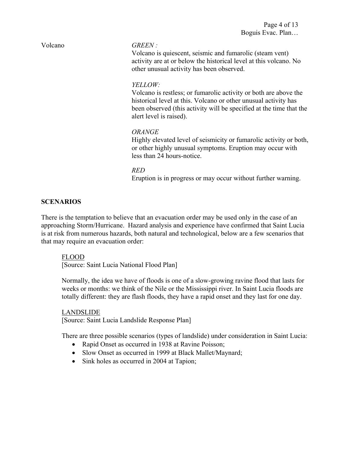#### Volcano *GREEN :*

Volcano is quiescent, seismic and fumarolic (steam vent) activity are at or below the historical level at this volcano. No other unusual activity has been observed.

#### *YELLOW:*

Volcano is restless; or fumarolic activity or both are above the historical level at this. Volcano or other unusual activity has been observed (this activity will be specified at the time that the alert level is raised).

#### *ORANGE*

Highly elevated level of seismicity or fumarolic activity or both, or other highly unusual symptoms. Eruption may occur with less than 24 hours-notice.

#### *RED*

Eruption is in progress or may occur without further warning.

#### **SCENARIOS**

There is the temptation to believe that an evacuation order may be used only in the case of an approaching Storm/Hurricane. Hazard analysis and experience have confirmed that Saint Lucia is at risk from numerous hazards, both natural and technological, below are a few scenarios that that may require an evacuation order:

#### FLOOD

[Source: Saint Lucia National Flood Plan]

Normally, the idea we have of floods is one of a slow-growing ravine flood that lasts for weeks or months: we think of the Nile or the Mississippi river. In Saint Lucia floods are totally different: they are flash floods, they have a rapid onset and they last for one day.

#### LANDSLIDE

[Source: Saint Lucia Landslide Response Plan]

There are three possible scenarios (types of landslide) under consideration in Saint Lucia:

- Rapid Onset as occurred in 1938 at Ravine Poisson;
- Slow Onset as occurred in 1999 at Black Mallet/Maynard;
- Sink holes as occurred in 2004 at Tapion;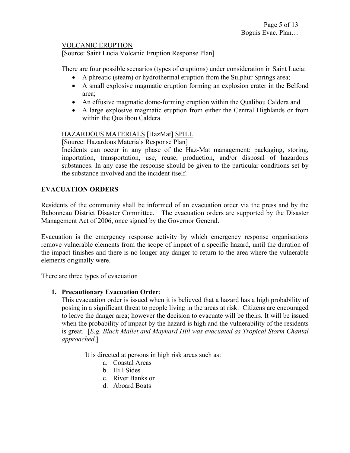#### VOLCANIC ERUPTION

[Source: Saint Lucia Volcanic Eruption Response Plan]

There are four possible scenarios (types of eruptions) under consideration in Saint Lucia:

- A phreatic (steam) or hydrothermal eruption from the Sulphur Springs area;
- A small explosive magmatic eruption forming an explosion crater in the Belfond area;
- An effusive magmatic dome-forming eruption within the Qualibou Caldera and
- A large explosive magmatic eruption from either the Central Highlands or from within the Qualibou Caldera.

#### HAZARDOUS MATERIALS [HazMat] SPILL

[Source: Hazardous Materials Response Plan]

Incidents can occur in any phase of the Haz-Mat management: packaging, storing, importation, transportation, use, reuse, production, and/or disposal of hazardous substances. In any case the response should be given to the particular conditions set by the substance involved and the incident itself.

#### **EVACUATION ORDERS**

Residents of the community shall be informed of an evacuation order via the press and by the Babonneau District Disaster Committee. The evacuation orders are supported by the Disaster Management Act of 2006, once signed by the Governor General.

Evacuation is the emergency response activity by which emergency response organisations remove vulnerable elements from the scope of impact of a specific hazard, until the duration of the impact finishes and there is no longer any danger to return to the area where the vulnerable elements originally were.

There are three types of evacuation

#### **1. Precautionary Evacuation Order:**

This evacuation order is issued when it is believed that a hazard has a high probability of posing in a significant threat to people living in the areas at risk. Citizens are encouraged to leave the danger area; however the decision to evacuate will be theirs. It will be issued when the probability of impact by the hazard is high and the vulnerability of the residents is great. [*E.g. Black Mallet and Maynard Hill was evacuated as Tropical Storm Chantal approached*.]

It is directed at persons in high risk areas such as:

- a. Coastal Areas
- b. Hill Sides
- c. River Banks or
- d. Aboard Boats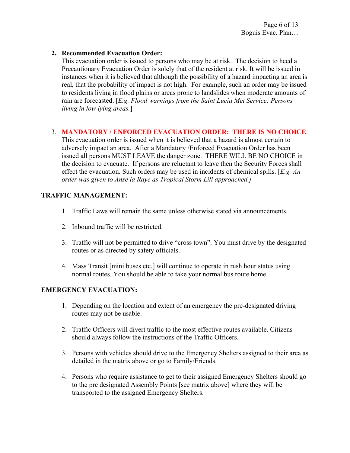#### **2. Recommended Evacuation Order:**

This evacuation order is issued to persons who may be at risk. The decision to heed a Precautionary Evacuation Order is solely that of the resident at risk. It will be issued in instances when it is believed that although the possibility of a hazard impacting an area is real, that the probability of impact is not high. For example, such an order may be issued to residents living in flood plains or areas prone to landslides when moderate amounts of rain are forecasted. [*E.g. Flood warnings from the Saint Lucia Met Service: Persons living in low lying areas.*]

#### 3. **MANDATORY / ENFORCED EVACUATION ORDER: THERE IS NO CHOICE**.

This evacuation order is issued when it is believed that a hazard is almost certain to adversely impact an area. After a Mandatory /Enforced Evacuation Order has been issued all persons MUST LEAVE the danger zone. THERE WILL BE NO CHOICE in the decision to evacuate. If persons are reluctant to leave then the Security Forces shall effect the evacuation. Such orders may be used in incidents of chemical spills. [*E.g. An order was given to Anse la Raye as Tropical Storm Lili approached.]*

#### **TRAFFIC MANAGEMENT:**

- 1. Traffic Laws will remain the same unless otherwise stated via announcements.
- 2. Inbound traffic will be restricted.
- 3. Traffic will not be permitted to drive "cross town". You must drive by the designated routes or as directed by safety officials.
- 4. Mass Transit [mini buses etc.] will continue to operate in rush hour status using normal routes. You should be able to take your normal bus route home.

#### **EMERGENCY EVACUATION:**

- 1. Depending on the location and extent of an emergency the pre-designated driving routes may not be usable.
- 2. Traffic Officers will divert traffic to the most effective routes available. Citizens should always follow the instructions of the Traffic Officers.
- 3. Persons with vehicles should drive to the Emergency Shelters assigned to their area as detailed in the matrix above or go to Family/Friends.
- 4. Persons who require assistance to get to their assigned Emergency Shelters should go to the pre designated Assembly Points [see matrix above] where they will be transported to the assigned Emergency Shelters.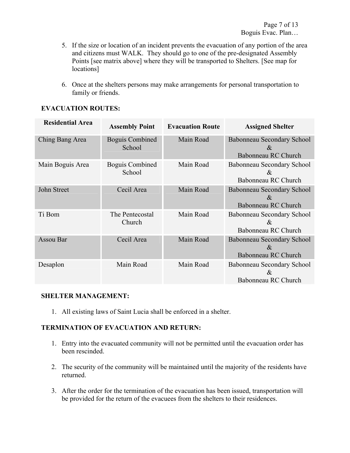- 5. If the size or location of an incident prevents the evacuation of any portion of the area and citizens must WALK. They should go to one of the pre-designated Assembly Points [see matrix above] where they will be transported to Shelters. [See map for locations]
- 6. Once at the shelters persons may make arrangements for personal transportation to family or friends.

| <b>Residential Area</b> | <b>Assembly Point</b>            | <b>Evacuation Route</b> | <b>Assigned Shelter</b>                                          |
|-------------------------|----------------------------------|-------------------------|------------------------------------------------------------------|
| Ching Bang Area         | <b>Boguis Combined</b><br>School | Main Road               | Babonneau Secondary School<br>$\&$<br><b>Babonneau RC Church</b> |
| Main Boguis Area        | <b>Boguis Combined</b><br>School | Main Road               | Babonneau Secondary School<br>$\&$<br>Babonneau RC Church        |
| John Street             | Cecil Area                       | Main Road               | Babonneau Secondary School<br>$\alpha$<br>Babonneau RC Church    |
| Ti Bom                  | The Pentecostal<br>Church        | Main Road               | Babonneau Secondary School<br>$\&$<br>Babonneau RC Church        |
| Assou Bar               | Cecil Area                       | Main Road               | Babonneau Secondary School<br>$\&$<br>Babonneau RC Church        |
| Desaplon                | Main Road                        | Main Road               | Babonneau Secondary School<br>&<br>Babonneau RC Church           |

### **EVACUATION ROUTES:**

#### **SHELTER MANAGEMENT:**

1. All existing laws of Saint Lucia shall be enforced in a shelter.

#### **TERMINATION OF EVACUATION AND RETURN:**

- 1. Entry into the evacuated community will not be permitted until the evacuation order has been rescinded.
- 2. The security of the community will be maintained until the majority of the residents have returned.
- 3. After the order for the termination of the evacuation has been issued, transportation will be provided for the return of the evacuees from the shelters to their residences.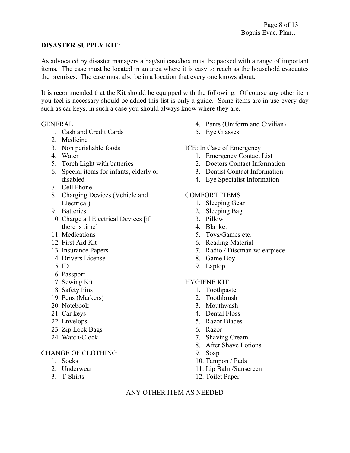#### **DISASTER SUPPLY KIT:**

As advocated by disaster managers a bag/suitcase/box must be packed with a range of important items. The case must be located in an area where it is easy to reach as the household evacuates the premises. The case must also be in a location that every one knows about.

It is recommended that the Kit should be equipped with the following. Of course any other item you feel is necessary should be added this list is only a guide. Some items are in use every day such as car keys, in such a case you should always know where they are.

#### **GENERAL**

- 1. Cash and Credit Cards
- 2. Medicine
- 3. Non perishable foods
- 4. Water
- 5. Torch Light with batteries
- 6. Special items for infants, elderly or disabled
- 7. Cell Phone
- 8. Charging Devices (Vehicle and Electrical)
- 9. Batteries
- 10. Charge all Electrical Devices [if there is time]
- 11. Medications
- 12. First Aid Kit
- 13. Insurance Papers
- 14. Drivers License
- 15. ID
- 16. Passport
- 17. Sewing Kit
- 18. Safety Pins
- 19. Pens (Markers)
- 20. Notebook
- 21. Car keys
- 22. Envelops
- 23. Zip Lock Bags
- 24. Watch/Clock

#### CHANGE OF CLOTHING

- 1. Socks
- 2. Underwear
- 3. T-Shirts
- 4. Pants (Uniform and Civilian)
- 5. Eye Glasses
- ICE: In Case of Emergency
	- 1. Emergency Contact List
	- 2. Doctors Contact Information
	- 3. Dentist Contact Information
	- 4. Eye Specialist Information

#### COMFORT ITEMS

- 1. Sleeping Gear
- 2. Sleeping Bag
- 3. Pillow
- 4. Blanket
- 5. Toys/Games etc.
- 6. Reading Material
- 7. Radio / Discman w/ earpiece
- 8. Game Boy
- 9. Laptop

#### HYGIENE KIT

- 1. Toothpaste
- 2. Toothbrush
- 3. Mouthwash
- 4. Dental Floss
- 5. Razor Blades
- 6. Razor
- 7. Shaving Cream
- 8. After Shave Lotions
- 9. Soap
- 10. Tampon / Pads
- 11. Lip Balm/Sunscreen
- 12. Toilet Paper

#### ANY OTHER ITEM AS NEEDED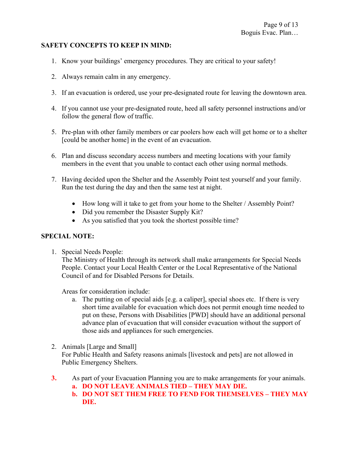#### **SAFETY CONCEPTS TO KEEP IN MIND:**

- 1. Know your buildings' emergency procedures. They are critical to your safety!
- 2. Always remain calm in any emergency.
- 3. If an evacuation is ordered, use your pre-designated route for leaving the downtown area.
- 4. If you cannot use your pre-designated route, heed all safety personnel instructions and/or follow the general flow of traffic.
- 5. Pre-plan with other family members or car poolers how each will get home or to a shelter [could be another home] in the event of an evacuation.
- 6. Plan and discuss secondary access numbers and meeting locations with your family members in the event that you unable to contact each other using normal methods.
- 7. Having decided upon the Shelter and the Assembly Point test yourself and your family. Run the test during the day and then the same test at night.
	- How long will it take to get from your home to the Shelter / Assembly Point?
	- Did you remember the Disaster Supply Kit?
	- As you satisfied that you took the shortest possible time?

#### **SPECIAL NOTE:**

1. Special Needs People:

The Ministry of Health through its network shall make arrangements for Special Needs People. Contact your Local Health Center or the Local Representative of the National Council of and for Disabled Persons for Details.

Areas for consideration include:

- a. The putting on of special aids [e.g. a caliper], special shoes etc. If there is very short time available for evacuation which does not permit enough time needed to put on these, Persons with Disabilities [PWD] should have an additional personal advance plan of evacuation that will consider evacuation without the support of those aids and appliances for such emergencies.
- 2. Animals [Large and Small] For Public Health and Safety reasons animals [livestock and pets] are not allowed in Public Emergency Shelters.
- **3.** As part of your Evacuation Planning you are to make arrangements for your animals. **a. DO NOT LEAVE ANIMALS TIED – THEY MAY DIE.** 
	-
	- **b. DO NOT SET THEM FREE TO FEND FOR THEMSELVES THEY MAY DIE.**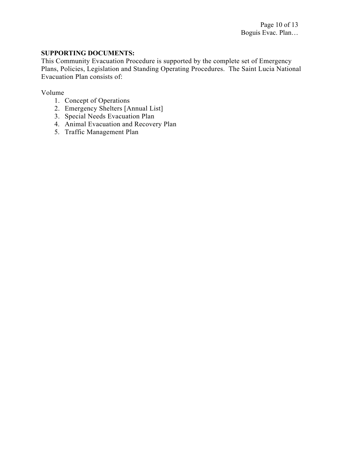#### **SUPPORTING DOCUMENTS:**

This Community Evacuation Procedure is supported by the complete set of Emergency Plans, Policies, Legislation and Standing Operating Procedures. The Saint Lucia National Evacuation Plan consists of:

Volume

- 1. Concept of Operations
- 2. Emergency Shelters [Annual List]
- 3. Special Needs Evacuation Plan
- 4. Animal Evacuation and Recovery Plan
- 5. Traffic Management Plan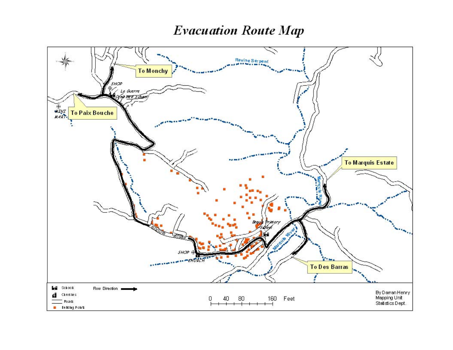## **Evacuation Route Map**

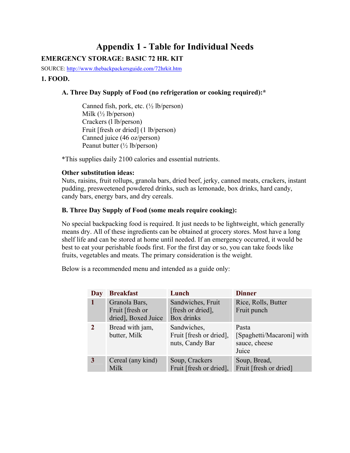### **Appendix 1 - Table for Individual Needs EMERGENCY STORAGE: BASIC 72 HR. KIT**

SOURCE: http://www.thebackpackersguide.com/72hrkit.htm

#### **1. FOOD.**

#### **A. Three Day Supply of Food (no refrigeration or cooking required):\***

Canned fish, pork, etc.  $(\frac{1}{2} \text{ lb/person})$ Milk  $(\frac{1}{2} \text{ lb/person})$ Crackers (l lb/person) Fruit [fresh or dried] (1 lb/person) Canned juice (46 oz/person) Peanut butter (½ lb/person)

\*This supplies daily 2100 calories and essential nutrients.

#### **Other substitution ideas:**

Nuts, raisins, fruit rollups, granola bars, dried beef, jerky, canned meats, crackers, instant pudding, presweetened powdered drinks, such as lemonade, box drinks, hard candy, candy bars, energy bars, and dry cereals.

#### **B. Three Day Supply of Food (some meals require cooking):**

No special backpacking food is required. It just needs to be lightweight, which generally means dry. All of these ingredients can be obtained at grocery stores. Most have a long shelf life and can be stored at home until needed. If an emergency occurred, it would be best to eat your perishable foods first. For the first day or so, you can take foods like fruits, vegetables and meats. The primary consideration is the weight.

Below is a recommended menu and intended as a guide only:

| Day            | <b>Breakfast</b>                                        | Lunch                                                     | <b>Dinner</b>                                                |
|----------------|---------------------------------------------------------|-----------------------------------------------------------|--------------------------------------------------------------|
| 1              | Granola Bars,<br>Fruit [fresh or<br>dried], Boxed Juice | Sandwiches, Fruit<br>[fresh or dried],<br>Box drinks      | Rice, Rolls, Butter<br>Fruit punch                           |
| $\overline{2}$ | Bread with jam,<br>butter, Milk                         | Sandwiches,<br>Fruit [fresh or dried],<br>nuts, Candy Bar | Pasta<br>[Spaghetti/Macaroni] with<br>sauce, cheese<br>Juice |
| 3              | Cereal (any kind)<br>Milk                               | Soup, Crackers<br>Fruit [fresh or dried],                 | Soup, Bread,<br>Fruit [fresh or dried]                       |